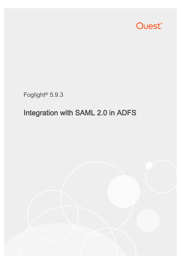

Foglight® 5.9.3

## Integration with SAML 2.0 in ADFS

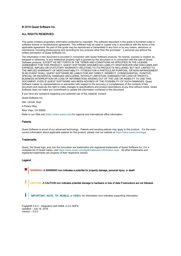#### © 2018 Quest Software Inc.

#### ALL RIGHTS RESERVED.

This guide contains proprietary information protected by copyright. The software described in this guide is furnished under a software license or nondisclosure agreement. This software may be used or copied only in accordance with the terms of the applicable agreement. No part of this guide may be reproduced or transmitted in any form or by any means, electronic or mechanical, including photocopying and recording for any purpose other than the purchaser's personal use without the written permission of Quest Software Inc.

The information in this document is provided in connection with Quest Software products. No license, express or implied, by estoppel or otherwise, to any intellectual property right is granted by this document or in connection with the sale of Quest Software products. EXCEPT AS SET FORTH IN THE TERMS AND CONDITIONS AS SPECIFIED IN THE LICENSE AGREEMENT FOR THIS PRODUCT, QUEST SOFTWARE ASSUMES NO LIABILITY WHATSOEVER AND DISCLAIMS ANY EXPRESS, IMPLIED OR STATUTORY WARRANTY RELATING TO ITS PRODUCTS INCLUDING, BUT NOT LIMITED TO, THE IMPLIED WARRANTY OF MERCHANTABILITY, FITNESS FOR A PARTICULAR PURPOSE, OR NON-INFRINGEMENT. IN NO EVENT SHALL QUEST SOFTWARE BE LIABLE FOR ANY DIRECT, INDIRECT, CONSEQUENTIAL, PUNITIVE, SPECIAL OR INCIDENTAL DAMAGES (INCLUDING, WITHOUT LIMITATION, DAMAGES FOR LOSS OF PROFITS, BUSINESS INTERRUPTION OR LOSS OF INFORMATION) ARISING OUT OF THE USE OR INABILITY TO USE THIS DOCUMENT, EVEN IF QUEST SOFTWARE HAS BEEN ADVISED OF THE POSSIBILITY OF SUCH DAMAGES. Quest Software makes no representations or warranties with respect to the accuracy or completeness of the contents of this document and reserves the right to make changes to specifications and product descriptions at any time without notice. Quest Software does not make any commitment to update the information contained in this document.

If you have any questions regarding your potential use of this material, contact:

Quest Software Inc.

Attn: LEGAL Dept

4 Polaris Way

Aliso Viejo, CA 92656

Refer to our Web site [\(https://www.quest.com\)](https://www.quest.com/) for regional and international office information.

#### **Patents**

Quest Software is proud of our advanced technology. Patents and pending patents may apply to this product. For the most current information about applicable patents for this product, please visit our website at<https://www.quest.com/legal> .

#### **Trademarks**

Quest, the Quest logo, and Join the Innovation are trademarks and registered trademarks of Quest Software Inc. For a complete list of Quest marks, visi[t https://www.quest.com/legal/trademark-information.aspx.](https://www.quest.com/legal/trademark-information.aspx) All other trademarks and registered trademarks are property of their respective owners.

#### Legend

WARNING: A WARNING icon indicates a potential for property damage, personal injury, or death

CAUTION: A CAUTION icon indicates potential damage to hardware or loss of data if instructions are not followed.

IMPORTANT, NOTE, TIP, MOBILE, or VIDEO: An information icon indicates supporting information.

Foglight® 5.9.3 – Integration with SAML 2.0 in ADFS Updated – July 16, 2018 Version  $-5.9.3$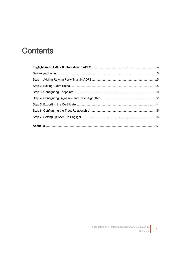### **Contents**

 $\overline{3}$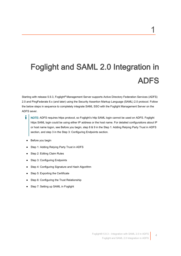# <span id="page-3-0"></span> Foglight and SAML 2.0 Integration in ADFS

Starting with release 5.9.3, Foglight® Management Server supports Active Directory Federation Services (ADFS) 2.0 and PingFederate 8.x (and later) using the Security Assertion Markup Language (SAML) 2.0 protocol. Follow the below steps in sequence to completely integrate SAML SSO with the Foglight Management Server on the ADFS sever.

- i NOTE: ADFS requires https protocol, so Foglight's http SAML login cannot be used on ADFS. Foglight https SAML login could be using either IP address or the host name. For detailed configurations about IP or host name logon, see [Before you begin,](#page-4-0) step 8 & 9 in th[e Step 1: Adding Relying Party Trust in ADFS](#page-4-1) section, and step 3 in th[e Step 3: Configuring Endpoints](#page-9-0) section.
- [Before you begin](#page-4-0)
- [Step 1: Adding Relying Party Trust in ADFS](#page-4-1)
- [Step 2: Editing Claim Rules](#page-7-0)
- [Step 3: Configuring Endpoints](#page-9-0)
- [Step 4: Configuring Signature and Hash Algorithm](#page-11-0)
- [Step 5: Exporting the Certificate](#page-13-0)
- [Step 6: Configuring the Trust Relationship](#page-14-0)
- [Step 7: Setting up SAML in Foglight](#page-14-1)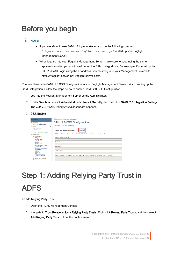### <span id="page-4-0"></span>Before you begin

#### i NOTE:

- If you are about to use SAML IP login, make sure to run the following command: "-Dquest.saml.hostname=<foglight-server-ip>" to start up your Foglight Management Server.
- When logging into your Foglight Management Server, make sure to keep using the same approach as what you configured during the SAML integrations. For example, if you set up the HTTPS SAML login using the IP address, you must log in to your Management Sever with https://<foglight-server-ip>:<foglight-server-port>.

You need to enable SAML 2.0 SSO Configuration in your Foglight Management Server prior to setting up the SAML integration. Follow the steps below to enable SAML 2.0 SSO Configuration:

- 1 Log into the Foglight Management Server as the Administrator.
- 2 Under Dashboards, click Administration > Users & Security, and then click SAML 2.0 Integration Settings. The SAML 2.0 SSO Configuration dashboard appears.

#### 3 Click Enable.

| <b>Navigation</b>                                                                                                                                                                                                                                                                                                                                                | T. Users & Security Management > SAML 2.0 SSO                                                                                                                                                                                                                                                           |
|------------------------------------------------------------------------------------------------------------------------------------------------------------------------------------------------------------------------------------------------------------------------------------------------------------------------------------------------------------------|---------------------------------------------------------------------------------------------------------------------------------------------------------------------------------------------------------------------------------------------------------------------------------------------------------|
| $\blacktriangleright$ Bookmarks<br>There are no hookmarks                                                                                                                                                                                                                                                                                                        | SAML 2.0 SSO Configuration                                                                                                                                                                                                                                                                              |
| $\overline{\phantom{a}}$ Homes<br>Administration<br>Alarms<br>Reports<br>Service Operations Console                                                                                                                                                                                                                                                              | Config SAML 2.0 SSO IDP information.<br>$\overline{\phantom{a}}$<br>SAML 2.0 SSO is disabled.<br>Enable                                                                                                                                                                                                 |
| $\star$ Dashboards<br>□ Administration<br><b>图 Agents</b><br><b>El Cartridges</b><br>Credentials<br><b>El Data</b><br><b>El Integration</b><br><b>El Management Server</b><br>Rest APT<br>图 Rules & Notifications<br><b>四 Schedules</b><br><b>图 Setup</b><br><b>El Support</b><br><b>日 Tooling</b><br>Users & Security<br>Alarms<br><b>El Dependency Mapping</b> | SAML 2.0 SSO is now disabled. To enable SAML 2.0 SSO, please click the above "Enable" button.<br>▼<br><b>Identity Provider Entity ID:</b><br>Login URL:<br>Logout URL:<br>Attribute Key:<br>Identity Provider x.509 Signing Certificate: (Base64 encoding PEM format, ex "-----BEGIN CERTIFICATE-----") |

# <span id="page-4-1"></span>Step 1: Adding Relying Party Trust in ADFS

To add Relying Party Trust:

- 1 Open the ADFS Management Console.
- 2 Navigate to Trust Relationships > Relying Party Trusts. Right click Relying Party Trusts, and then select Add Relying Party Trust... from the context menu.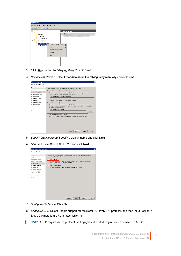| AD FS 2.0                                                |                                             |
|----------------------------------------------------------|---------------------------------------------|
| File<br>Window<br>Action<br>View                         | Help                                        |
| 2 <br>名匠                                                 |                                             |
| AD FS 2.0<br>Service<br>Ξ                                | <b>Relying Party Trusts</b><br>Disnlay Name |
| Endpoints<br>Certificates                                |                                             |
| Claim Descriptions<br>Trust Relationships<br>m<br>$\Box$ |                                             |
| Claims Provider Trusts<br>Relying Party Trught           |                                             |
| <b>Attribute Stores</b>                                  | Add Relying Party Trust                     |
|                                                          | View<br>New Window from Here                |
|                                                          | Refresh                                     |
|                                                          | Help                                        |
|                                                          |                                             |
|                                                          |                                             |
|                                                          |                                             |

- 3 Click Start on the Add Relying Party Trust Wizard.
- 4 Select Data Source: Select Enter data about the relying party manually and click Next.

| @ Welcome<br>Select Data Source<br>Specify Display Name<br>Choose Profile<br>Configure Certificate<br>Configure URL | Select an option that this wizard will use to obtain data about this relying party:<br>Import data about the relying party published online or on a local network.<br>Use this option to import the necessary data and certificates from a relying party organization that<br>publishes its federation metadata online or on a local network.<br>Federation metadata address (host name or URL): |
|---------------------------------------------------------------------------------------------------------------------|--------------------------------------------------------------------------------------------------------------------------------------------------------------------------------------------------------------------------------------------------------------------------------------------------------------------------------------------------------------------------------------------------|
|                                                                                                                     |                                                                                                                                                                                                                                                                                                                                                                                                  |
|                                                                                                                     |                                                                                                                                                                                                                                                                                                                                                                                                  |
|                                                                                                                     |                                                                                                                                                                                                                                                                                                                                                                                                  |
|                                                                                                                     |                                                                                                                                                                                                                                                                                                                                                                                                  |
|                                                                                                                     |                                                                                                                                                                                                                                                                                                                                                                                                  |
|                                                                                                                     | Example: fs.contoso.com or https://www.contoso.com/app                                                                                                                                                                                                                                                                                                                                           |
| Configure Identifiers                                                                                               | Import data about the relying party from a file<br>o                                                                                                                                                                                                                                                                                                                                             |
| <b>Q</b> Choose Issuance<br>Authorization Bules                                                                     | Use this option to import the necessary data and certificates from a relying party organization that has<br>exported its federation metadata to a file. Ensure that this file is from a trusted source. This wizard will                                                                                                                                                                         |
| <b>Beady to Add Trust</b>                                                                                           | not validate the source of the file.                                                                                                                                                                                                                                                                                                                                                             |
| e Finish                                                                                                            | Eederation metadata file Incation:<br>Browse.                                                                                                                                                                                                                                                                                                                                                    |
|                                                                                                                     | Enter data about the relying party manually                                                                                                                                                                                                                                                                                                                                                      |
|                                                                                                                     | Use this option to manually input the necessary data about this relying party organization.                                                                                                                                                                                                                                                                                                      |

- 5 Specify Display Name: Specify a display name and click Next.
- 6 Choose Profile: Select AD FS 2.0 and click Next.



7 Configure Certificate: Click Next.

i

- 8 Configure URL: Select Enable support for the SAML 2.0 WebSSO protocol, and then input Foglight's SAML 2.0 metadata URL in https, which is:
	- NOTE: ADFS requires https protocol, so Foglight's http SAML login cannot be used on ADFS.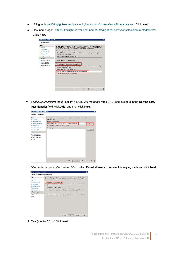- IP logon: https://<foglight-server-ip>:<foglight-ssl-port>/console/saml2/metadata.xml. Click Next.
- Host name logon: https://<foglight-server-host-name>:<foglight-ssl-port>/console/saml2/metadata.xml. Click Next.

| <b>Steps</b>                                                                                                                                                                                                                                                | AD FS 2.0 supports the WS-Trust, WS-Federation and SAML 2.0 WebSSO protocols for relying parties. If                                                                                                                                                                                                                                                                                                                                                                                                                                                                                                                                                                                                                                                                                                    |
|-------------------------------------------------------------------------------------------------------------------------------------------------------------------------------------------------------------------------------------------------------------|---------------------------------------------------------------------------------------------------------------------------------------------------------------------------------------------------------------------------------------------------------------------------------------------------------------------------------------------------------------------------------------------------------------------------------------------------------------------------------------------------------------------------------------------------------------------------------------------------------------------------------------------------------------------------------------------------------------------------------------------------------------------------------------------------------|
| a Welcome<br><b>Select Data Source</b><br><b>Specify Display Name</b><br>Choose Profile<br><b>Configure Certificate</b><br>Configure URL<br>Configure Identifiers<br>Choose Issuance<br>Authorization Bules<br><b>Beady to Add Trust</b><br><b>B</b> Finish | WS-Federation, SAML, or both are used by the relying party, select the check boxes for them and specify<br>the URLs to use. Support for the WS-Trust protocol is always enabled for a relying party.<br>Enable support for the WS-Federation Passive protocol<br>The WS-Federation Passive protocol URL supports Web-browser-based claims providers using the<br>WS-Federation Passive protocol.<br>Relving party WS-Federation Passive protocol URL:<br>Example: https://fs.contoso.com/adfs/ls/<br>Enable support for the SAML 2.0 WebSSO protocol<br>The SAML 2 U single-sign-on [SSU] service UHL supports Web-browser-based claims providers using<br>the SAML 2.0 WebSSD protocol.<br>Relving party SAML 2.0 SSO service URL:<br>https://gcgg6g52.prod.guest.corp:8443/console/saml2/metadata.xml |
|                                                                                                                                                                                                                                                             | Example: https://www.contoso.com/adfs/ls/<br>< Previous<br>Next ><br>Cancel<br>Help                                                                                                                                                                                                                                                                                                                                                                                                                                                                                                                                                                                                                                                                                                                     |

9 Configure Identifiers: Input Foglight's SAML 2.0 metadata https URL used in step 8 in the Relying party trust identifier field, click Add, and then click Next.

| <b>Steps</b>                                    | Relying parties may be identified by one or more unique identifier strings. Specify the identifiers for this |
|-------------------------------------------------|--------------------------------------------------------------------------------------------------------------|
| a Welcome                                       | relying party trust.                                                                                         |
| Select Data Source                              | Relying party trust identifier:                                                                              |
| Specify Display Name                            | https://gcgg6g52.prod.guest.corp:8443/console/saml2/metadata.xml<br>Add                                      |
| <b>Choose Profile</b><br>a                      | Example: https://fs.contoso.com/adfs/services/trust                                                          |
| <b>Configure Certificate</b>                    | Reking party trust identifiers:                                                                              |
| <b>Q</b> Configure URL                          | Remove                                                                                                       |
| Configure Identifiers                           |                                                                                                              |
| <b>a</b> Choose Issuance<br>Authorization Rules |                                                                                                              |
| Ready to Add Trust                              |                                                                                                              |
| Finish                                          |                                                                                                              |

10 Choose Issuance Authorization Rules: Select Permit all users to access this relying party and click Next.



11 Ready to Add Trust. Click Next.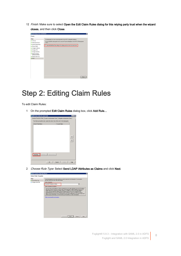12 Finish: Make sure to select Open the Edit Claim Rules dialog for this relying party trust when the wizard closes, and then click Close.

| Finish                                                                                                                                                                                                                               |
|--------------------------------------------------------------------------------------------------------------------------------------------------------------------------------------------------------------------------------------|
| <b>Steps</b><br>Welcome<br>Select Data Source<br>Specify Display Name<br>Choose Profile<br>Configure Certificate<br>Configure URL<br>Configure Identifiers<br>Choose Issuance<br>Authorization Rules<br>Ready to Add Trust<br>Finish |

### <span id="page-7-0"></span>Step 2: Editing Claim Rules

To edit Claim Rules:

1 On the prompted Edit Claim Rules dialog box, click Add Rule...



2 Choose Rule Type: Select Send LDAP Attributes as Claims and click Next.

| <b>Steps</b><br>Choose Bule Type | Select the template for the claim rule that you want to create from the following list. The description<br>provides details about each claim rule template.                                                                                                                                                                                                                                                                                                                                                                                                                                                                                                                                                                                                                           |  |  |  |
|----------------------------------|---------------------------------------------------------------------------------------------------------------------------------------------------------------------------------------------------------------------------------------------------------------------------------------------------------------------------------------------------------------------------------------------------------------------------------------------------------------------------------------------------------------------------------------------------------------------------------------------------------------------------------------------------------------------------------------------------------------------------------------------------------------------------------------|--|--|--|
| Configure Claim Rule             | Claim rule template:                                                                                                                                                                                                                                                                                                                                                                                                                                                                                                                                                                                                                                                                                                                                                                  |  |  |  |
|                                  | Send LDAP Attributes as Claims                                                                                                                                                                                                                                                                                                                                                                                                                                                                                                                                                                                                                                                                                                                                                        |  |  |  |
|                                  | Clam rule template description:                                                                                                                                                                                                                                                                                                                                                                                                                                                                                                                                                                                                                                                                                                                                                       |  |  |  |
|                                  | Using the Send LDAP Attribute as Claims rule template you can select attributes from an LDAP attribute<br>store such as Active Directory to send as claims to the relying party. Multiple attributes may be sent as<br>multiple claims from a single rule using this rule type. For example, you can use this rule template to<br>create a rule that will extract attribute values for authenticated users from the displayName and<br>telephoneNumber Active Directory attributes and then send those values as two different outgoing<br>claims. This rule may also be used to send all of the user's group memberships. If you want to only send<br>individual group memberships, use the Send Group Membership as a Claim rule template.<br>Tell me more about this rule template |  |  |  |
|                                  |                                                                                                                                                                                                                                                                                                                                                                                                                                                                                                                                                                                                                                                                                                                                                                                       |  |  |  |
|                                  |                                                                                                                                                                                                                                                                                                                                                                                                                                                                                                                                                                                                                                                                                                                                                                                       |  |  |  |
|                                  |                                                                                                                                                                                                                                                                                                                                                                                                                                                                                                                                                                                                                                                                                                                                                                                       |  |  |  |
|                                  |                                                                                                                                                                                                                                                                                                                                                                                                                                                                                                                                                                                                                                                                                                                                                                                       |  |  |  |
|                                  |                                                                                                                                                                                                                                                                                                                                                                                                                                                                                                                                                                                                                                                                                                                                                                                       |  |  |  |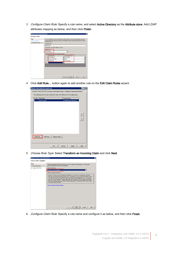3 Configure Claim Rule: Specify a rule name, and select Active Directory as the Attribute store. Add LDAP attributes mapping as below, and then click Finish.

| Add Transform Claim Rule Wizard |                  |                                                                                                                                         |                          |                            | 図              |  |
|---------------------------------|------------------|-----------------------------------------------------------------------------------------------------------------------------------------|--------------------------|----------------------------|----------------|--|
| <b>Configure Rule</b>           |                  |                                                                                                                                         |                          |                            |                |  |
| <b>Steps</b>                    |                  | You can configure this rule to send the values of LDAP attributes as claims. Select an attribute store from                             |                          |                            |                |  |
| <b>Q</b> Choose Rule Type       |                  | which to extract LDAP attributes. Specify how the attributes will map to the outgoing claim types that will be<br>issued from the rule. |                          |                            |                |  |
| Configure Claim Rule            | Claim rule name: |                                                                                                                                         |                          |                            |                |  |
|                                 |                  | Email to Learn                                                                                                                          |                          |                            |                |  |
|                                 |                  | Rule template: Send LDAP Attributes as Claims                                                                                           |                          |                            |                |  |
|                                 |                  | Attribute store:                                                                                                                        |                          |                            |                |  |
|                                 |                  | Active Directory                                                                                                                        |                          | ۰                          |                |  |
|                                 |                  | Mapping of LDAP attributes to outgoing claim types:                                                                                     |                          |                            |                |  |
|                                 |                  | <b>LDAP Attribute</b>                                                                                                                   |                          | <b>Outcoing Claim Type</b> |                |  |
|                                 |                  | E-Mail-Addresses                                                                                                                        | $\overline{\phantom{a}}$ | E-Mail Address             | ٠              |  |
|                                 |                  | SAM-Account-Name                                                                                                                        |                          | $\mathbf{v}$ Name          | $\overline{ }$ |  |
|                                 |                  | Display-Name                                                                                                                            |                          | - Common Name              | Ψ              |  |
|                                 |                  |                                                                                                                                         | П                        |                            |                |  |
|                                 |                  |                                                                                                                                         |                          |                            |                |  |
|                                 |                  |                                                                                                                                         |                          |                            |                |  |
|                                 |                  |                                                                                                                                         |                          |                            |                |  |
|                                 |                  |                                                                                                                                         |                          |                            |                |  |
|                                 |                  |                                                                                                                                         |                          |                            |                |  |
|                                 |                  |                                                                                                                                         |                          |                            |                |  |
|                                 |                  |                                                                                                                                         |                          | Finish<br>< Previous       | Cancel<br>Help |  |

4 Click Add Rule... button again to add another rule on the Edit Claim Rules wizard.



5 Choose Rule Type: Select Transform an Incoming Claim and click Next.



6 Configure Claim Rule: Specify a rule name and configure it as below, and then click Finish.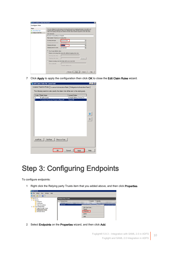| <b>Steps</b>         | You can configure this rule to map an incoming claim type to an outgoing claim type. As an option, you<br>can also map an incoming claim value to an outgoing claim value. Specify the incoming claim type to<br>map to the outgoing claim type and whether the claim value should be mapped to a new claim value. |                                                                         |                          |  |
|----------------------|--------------------------------------------------------------------------------------------------------------------------------------------------------------------------------------------------------------------------------------------------------------------------------------------------------------------|-------------------------------------------------------------------------|--------------------------|--|
| Choose Rule Type     |                                                                                                                                                                                                                                                                                                                    |                                                                         |                          |  |
| Configure Claim Rule | Claim rule name:                                                                                                                                                                                                                                                                                                   |                                                                         |                          |  |
|                      | Transform Command Name to NamelD                                                                                                                                                                                                                                                                                   |                                                                         |                          |  |
|                      | Rule template: Transform an Incoming Claim                                                                                                                                                                                                                                                                         |                                                                         |                          |  |
|                      | Incoming claim type:                                                                                                                                                                                                                                                                                               | Common Name                                                             |                          |  |
|                      | Incoming name ID format:                                                                                                                                                                                                                                                                                           | Unspecified                                                             |                          |  |
|                      | <b>Outgoing claim type:</b>                                                                                                                                                                                                                                                                                        | Name ID                                                                 | ٠                        |  |
|                      | Outgoing name ID format:                                                                                                                                                                                                                                                                                           | Unspecified                                                             | $\overline{\phantom{a}}$ |  |
|                      |                                                                                                                                                                                                                                                                                                                    |                                                                         |                          |  |
|                      | Pass through all claim values<br>$\sqrt{6}$                                                                                                                                                                                                                                                                        |                                                                         |                          |  |
|                      |                                                                                                                                                                                                                                                                                                                    | C Replace an incoming claim value with a different outgoing claim value |                          |  |
|                      | Incoming claim value:                                                                                                                                                                                                                                                                                              |                                                                         |                          |  |
|                      | Butgoing claim value:                                                                                                                                                                                                                                                                                              |                                                                         | Browse.                  |  |
|                      | C Replace incoming e-mail suffix claims with a new e-mail suffix                                                                                                                                                                                                                                                   |                                                                         |                          |  |
|                      |                                                                                                                                                                                                                                                                                                                    |                                                                         |                          |  |
|                      | New e-mail suffix:                                                                                                                                                                                                                                                                                                 | Example: Tabrikam.com                                                   |                          |  |
|                      |                                                                                                                                                                                                                                                                                                                    |                                                                         |                          |  |

7 Click Apply to apply the configuration then click OK to close the Edit Claim Rules wizard.

| Edit Claim Rules for jason test                                                          | $\times$                 |
|------------------------------------------------------------------------------------------|--------------------------|
| Issuance Transform Rules   Issuance Authorization Rules   Delegation Authorization Rules |                          |
| The following transform rules specify the claims that will be sent to the relying party. |                          |
| Order<br>Rule Name                                                                       | <b>Issued Claims</b>     |
| 1<br>Email to Learn                                                                      | E-Mail Address, Name, Co |
| 2<br>Transform Command Name to NameID                                                    | Name ID                  |
|                                                                                          |                          |
|                                                                                          |                          |
|                                                                                          |                          |
|                                                                                          |                          |
|                                                                                          |                          |
|                                                                                          |                          |
|                                                                                          |                          |
|                                                                                          |                          |
|                                                                                          |                          |
|                                                                                          |                          |
|                                                                                          |                          |
|                                                                                          |                          |
|                                                                                          |                          |
|                                                                                          |                          |
| Remove Rule<br>Edit Rule<br>Add Rule                                                     |                          |
|                                                                                          |                          |
|                                                                                          |                          |
|                                                                                          |                          |
| <b>OK</b>                                                                                | Apply<br>Help<br>Cancel  |
|                                                                                          |                          |

### <span id="page-9-0"></span>Step 3: Configuring Endpoints

To configure endpoints:

1 Right click the Relying party Trusts item that you added above, and then click Properties.

| <b>NEAD FS 2.0</b><br>Action View Window<br>File<br>Help<br>咖<br>$\Leftrightarrow$ $\triangleright$ $\blacksquare$ $\blacksquare$ $\blacksquare$ |                                             |                                                                                                                                                                               |
|--------------------------------------------------------------------------------------------------------------------------------------------------|---------------------------------------------|-------------------------------------------------------------------------------------------------------------------------------------------------------------------------------|
| AD FS 2.0<br>Service<br>$\Box$<br>Endpoints                                                                                                      | <b>Relying Party Trusts</b><br>Dienlau Mame | Enabled<br>Identifier                                                                                                                                                         |
| Certificates<br>Claim Descriptions<br><b>Trust Relationships</b><br>$\Box$<br>Claims Provider Trusts<br>Relying Party Trusts<br>Attribute Stores | jason test                                  | Istina: <i>Hongefiel</i> 62.prod.quest.corp: 8443<br><del>ು.</del> .<br>Update from Federation Metadata<br>Edit Claim Rules<br>Disable<br><b>Properties</b><br>Delete<br>Help |

2 Select Endpoints on the Properties wizard, and then click Add.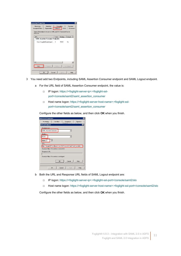| Identifiers<br>Monitorina<br>Encryption<br>Signature<br><b>Endpoints</b><br>Organization<br>Notes<br>Advanced<br>Accepted Claims<br>Specify the endpoints to use for SAML and WS-FederationPassive<br>protocols.<br>Binding<br>Default<br>URL<br>Index<br><b>SAML Assertion Consumer Endpoints</b><br>POST<br>No<br>https://gcgg6g52.prod.guest 0<br>$\ddot{\phantom{1}}$<br>Add.<br>Set Default<br>Edit<br>Remove | jason test Properties |  | Ι× |
|--------------------------------------------------------------------------------------------------------------------------------------------------------------------------------------------------------------------------------------------------------------------------------------------------------------------------------------------------------------------------------------------------------------------|-----------------------|--|----|
|                                                                                                                                                                                                                                                                                                                                                                                                                    |                       |  |    |
|                                                                                                                                                                                                                                                                                                                                                                                                                    |                       |  |    |
|                                                                                                                                                                                                                                                                                                                                                                                                                    |                       |  |    |
|                                                                                                                                                                                                                                                                                                                                                                                                                    |                       |  |    |
| <b>nk</b><br>Cancel<br>Help<br>Apply                                                                                                                                                                                                                                                                                                                                                                               |                       |  |    |

- 3 You need add two Endpoints, including SAML Assertion Consumer endpoint and SAML Logout endpoint.
	- a For the URL field of SAML Assertion Consumer endpoint, the value is:
		- □ IP logon: https://<foglight-server-ip>:<foglight-sslport>/console/saml2/saml\_assertion\_consumer
		- □ Host name logon: https://<foglight-server-host-name>:<foglight-sslport>/console/saml2/saml\_assertion\_consumer

Configure the other fields as below, and then click OK when you finish.

| jason test Properties<br>$\vert x \vert$                                            |
|-------------------------------------------------------------------------------------|
| Monitoring<br>Identifiers<br>Encryption<br>Signature<br><b>Constantinople</b><br>i. |
| $\overline{\mathbf{x}}$<br><b>Add an Endpoint</b>                                   |
| Endpoint type:<br><b>SAML Assertion Consumer</b>                                    |
| Bindina:                                                                            |
| POST                                                                                |
| ÷<br>Index: $ 2$                                                                    |
| URL:                                                                                |
| https://qcgq6q52.prod.quest.corp:8443/console/saml2/saml_assertion_ci               |
| Example: https://sts.contoso.com/adfs/ls                                            |
| Response URL:                                                                       |
|                                                                                     |
| Example: https://sts.contoso.com/logout                                             |
| 0K<br>Cancel<br>Help                                                                |
| <b>n</b> <sub>K</sub><br>Help<br>Cancel<br>Apply                                    |

- b Both the URL and Response URL fields of SAML Logout endpoint are:
	- □ IP logon: https://<foglight-server-ip>:<foglight-ssl-port>/console/saml2/slo
	- □ Host name logon: https://<foglight-server-host-name>:<foglight-ssl-port>/console/saml2/slo

Configure the other fields as below, and then click OK when you finish.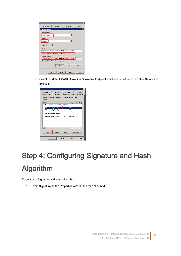| jason test Properties<br>$\pmb{\times}$                                                            |
|----------------------------------------------------------------------------------------------------|
| Monitoring<br>Identifiers<br>Encruption<br>Signature<br>n<br>$\mathbf{r}$<br>1.1.                  |
| $\mathbf{\times}$<br>Add an Endpoint                                                               |
| Endpoint type:                                                                                     |
| <b>SAML</b> Logout                                                                                 |
| Binding:                                                                                           |
| Redirect                                                                                           |
| Index: $ 0 $                                                                                       |
| URL:                                                                                               |
| https://gcgg6g52.prod.guest.corp:8443/console/saml2/slo                                            |
| Example: https://sts.contoso.com/adfs/ls                                                           |
| Resnonse HBL:                                                                                      |
| https://gcgq6q52.prod.quest.corp:8443/console/saml2/slo<br>Example: https://sts.contoso.com/loqout |
|                                                                                                    |
| <b>n</b> <sub>K</sub><br>Cancel<br>Help                                                            |
|                                                                                                    |
| <b>n</b> <sub>K</sub><br>Cancel<br>Help<br>Apply                                                   |

c Select the default SAML Assertion Consumer Endpoint which index is 0, and then click Remove to delete it.



# <span id="page-11-0"></span>Step 4: Configuring Signature and Hash Algorithm

To configure Signature and Hash algorithm:

1 Select Signature on the Properties wizard, and then click Add.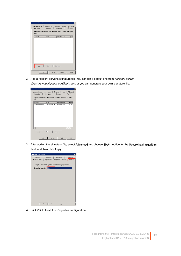| jason test Properties         |                                                                                |                         |                       | $\vert x \vert$       |
|-------------------------------|--------------------------------------------------------------------------------|-------------------------|-----------------------|-----------------------|
| Accepted Claims<br>Monitoring | Organization<br>Identifiers                                                    | Endpoints<br>Encryption | Notes                 | Advanced<br>Signature |
| party.                        | Specify the signature verification certificates for requests from this relying |                         |                       |                       |
| Subject                       | Issuer                                                                         |                         | <b>Effective Date</b> | Expiratio             |
|                               |                                                                                |                         |                       |                       |
|                               |                                                                                |                         |                       |                       |
|                               |                                                                                |                         |                       |                       |
|                               |                                                                                |                         |                       |                       |
|                               |                                                                                |                         |                       |                       |
|                               |                                                                                |                         |                       |                       |
|                               |                                                                                |                         |                       |                       |
|                               |                                                                                |                         |                       |                       |
|                               |                                                                                |                         |                       |                       |
| Add.                          | View                                                                           | Remove                  |                       |                       |
|                               |                                                                                |                         |                       |                       |
|                               | <b>n</b> <sub>K</sub><br>Cancel                                                |                         | Apply                 | Help                  |

2 Add a Foglight server's signature file. You can get a default one from <foglight-serverdirectory>/config/sam\_certificate.pem or you can generate your own signature file.

| jason test Properties                                                                    |                     |            |                       | $\boldsymbol{\times}$ |
|------------------------------------------------------------------------------------------|---------------------|------------|-----------------------|-----------------------|
| Accepted Claims                                                                          | Organization        | Endpoints  | Notes                 | Advanced              |
| Monitoring                                                                               | Identifiers         | Encryption |                       | Signature             |
| Specify the signature verification certificates for requests from this relying<br>party. |                     |            |                       |                       |
| Subject<br>E=support@q                                                                   | Issuer              |            | <b>Effective Date</b> | Expiratio             |
|                                                                                          |                     |            |                       | $\blacktriangleright$ |
| Add.                                                                                     | View                | Remove     |                       |                       |
|                                                                                          | <b>OK</b><br>Cancel |            | Apply                 | Help                  |

3 After adding the signature file, select Advanced and choose SHA-1 option for the Secure hash algorithm field, and then click Apply.

| jason test Properties |                              |                                                                        |                    | x                        |
|-----------------------|------------------------------|------------------------------------------------------------------------|--------------------|--------------------------|
| Monitoring            |                              | <b>Identifiers</b>                                                     | Encryption         | Signature                |
| Accepted Claims       |                              | Organization                                                           | Endpoints<br>Notes | Advanced                 |
|                       | Secure hash algorithm: SHA-1 | Specify the secure hash algorithm to use for this relying party trust. |                    | $\overline{\phantom{a}}$ |
|                       |                              |                                                                        |                    |                          |
|                       |                              |                                                                        |                    |                          |
|                       |                              |                                                                        |                    |                          |
|                       |                              |                                                                        |                    |                          |
|                       |                              |                                                                        |                    |                          |
|                       |                              |                                                                        |                    |                          |
|                       | <b>OK</b>                    | Cancel                                                                 | Apply              | Help                     |

4 Click OK to finish the Properties configuration.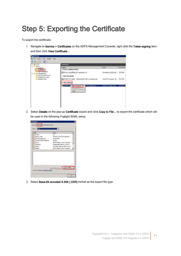## <span id="page-13-0"></span>Step 5: Exporting the Certificate

To export the certificate:

1 Navigate to Service > Certificates on the ADFS Management Console, right click the Token-signing item, and then click View Certificate…

| AD FS 2.0                                                                 |                                                                                              |                                  |              |
|---------------------------------------------------------------------------|----------------------------------------------------------------------------------------------|----------------------------------|--------------|
| File Action View Window<br>Help<br>啣                                      |                                                                                              |                                  |              |
| $\Rightarrow$ $\frac{1}{2}$ $\boxed{2}$ $\boxed{3}$                       |                                                                                              |                                  |              |
| AD FS 2.0                                                                 | <b>Certificates</b>                                                                          |                                  |              |
| n<br>Service<br>$\Box$                                                    | Subject                                                                                      | Issuer                           | Effective Da |
| Endpoints<br>Certificates                                                 | <b>Service communications</b>                                                                |                                  |              |
| <b>Claim Descriptions</b><br>Trust Relationships<br>日口                    | CN=zhuvm-fog-2639.sub1.ssoexample.com                                                        | CN=zhuvm-fog-2639.sub1 5/2/2018  |              |
| <b>Claims Provider Trusts</b><br>Relying Party Trusts<br>Attribute Stores | Token-decrypting<br>CN=ADFS Encryption - zhuvm-fog-2639.sub1.ssoexample.com<br>Token-signing | CN=ADFS Encryption - zh 5/2/2018 |              |
|                                                                           | <b>ES CN=ADFS S</b><br>1.ssoexample.com<br>View Certificate<br>Set as Primary<br>Help        | CN=ADFS Signing - zhuv           | 5/2/2018     |

2 Select Details on the pop-up Certificate wizard and click Copy to File... to export the certificate which will be used in the following Foglight SAML setup.

| <b>Certificate</b>                        | $\vert x \vert$                 |
|-------------------------------------------|---------------------------------|
| Details   Certification Path  <br>General |                                 |
| $\leq$ All $>$<br>Show:                   |                                 |
| Field                                     | Value                           |
| Version                                   | V3                              |
| Serial number                             | 78 6f f9 22 80 95 0b 8d 4b 81   |
| Signature algorithm                       | sha256RSA                       |
| Signature hash algorithm                  | sha256                          |
| Issuer                                    | ADFS Signing - zhuvm-fog-263    |
| Valid from                                | Wednesday, May 02, 2018 4:      |
| Valid to                                  | Thursday, May 02, 2019 4:20:    |
| Subject                                   | ADFS Signing - zhuvm-fog-263    |
|                                           |                                 |
| Learn more about certificate details      | Copy to File<br>Edit Properties |
|                                           | OK                              |

3 Select Base-64 encoded X.509 (.CER) format as the export file type.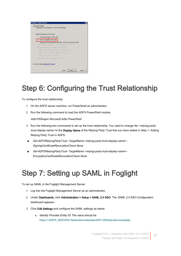

## <span id="page-14-0"></span>Step 6: Configuring the Trust Relationship

To configure the trust relationship:

- 1 On the ADFS server machine, run PowerShell as administrator.
- 2 Run the following command to load the ADFS PowerShell module.

Add-PSSnapin Microsoft.Adfs.PowerShell

- 3 Run the following two commands to set up the trust relationship. You need to change the <relying-partytrust-display-name> to the Display Name of the Relying Party Trust that you have added in Step 1: Adding [Relying Party Trust in ADFS.](#page-4-1)
- Set-ADFSRelyingPartyTrust -TargetName <relying-party-trust-display-name> -SigningCertificateRevocationCheck None
- Set-ADFSRelyingPartyTrust -TargetName <relying-party-trust-display-name> -EncryptionCertificateRevocationCheck None

### <span id="page-14-1"></span>Step 7: Setting up SAML in Foglight

To set up SAML in the Foglight Management Server:

- 1 Log into the Foglight Management Server as an administrator.
- 2 Under Dashboards, click Administration > Setup > SAML 2.0 SSO. The SAML 2.0 SSO Configuration dashboard appears.
- 3 Click Edit Settings and configure the SAML settings as below.
	- a Identity Provider Entity ID: The value should be https://<ADFS\_SERVER>/federationmetadata/2007-06/federationmetadata.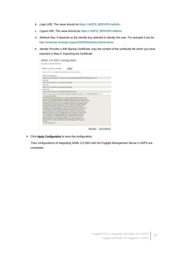- b Login URL: The value should be https://<ADFS\_SERVER>/adfs/ls/.
- c Logout URL: The value should be https://<ADFS\_SERVER>/adfs/ls/.
- d Attribute Key: It depends on the identity key selected to identity the user. For example it can be http://schemas.xmlsoap.org/ws/2005/05/identity/claims/name.
- e Identity Provider x.509 Signing Certificate: copy the content of the certificate file which you have exported in [Step 5: Exporting the Certificate.](#page-13-0)

| Config SAML 2.0 SSO IDP information.                                                                                                                                                                                                                                                                                                                                                                                                                                                                                                                                                                                                                                                                                                                                                                                                                                                                                                                                                                                                                                                                                                 |                                                                                                             |
|--------------------------------------------------------------------------------------------------------------------------------------------------------------------------------------------------------------------------------------------------------------------------------------------------------------------------------------------------------------------------------------------------------------------------------------------------------------------------------------------------------------------------------------------------------------------------------------------------------------------------------------------------------------------------------------------------------------------------------------------------------------------------------------------------------------------------------------------------------------------------------------------------------------------------------------------------------------------------------------------------------------------------------------------------------------------------------------------------------------------------------------|-------------------------------------------------------------------------------------------------------------|
| SAML 2.0 SSO is enabled.                                                                                                                                                                                                                                                                                                                                                                                                                                                                                                                                                                                                                                                                                                                                                                                                                                                                                                                                                                                                                                                                                                             | <b>Disable</b>                                                                                              |
| SAML 2.0 SSO is now enabled. IDP information can be edited as below.                                                                                                                                                                                                                                                                                                                                                                                                                                                                                                                                                                                                                                                                                                                                                                                                                                                                                                                                                                                                                                                                 |                                                                                                             |
| <b>Identity Provider Entity ID:</b>                                                                                                                                                                                                                                                                                                                                                                                                                                                                                                                                                                                                                                                                                                                                                                                                                                                                                                                                                                                                                                                                                                  |                                                                                                             |
|                                                                                                                                                                                                                                                                                                                                                                                                                                                                                                                                                                                                                                                                                                                                                                                                                                                                                                                                                                                                                                                                                                                                      | https://zhuvm-fog-2639.sub1.ssoexample.com/federationmetadata/2007-06/federationmetadata.xml                |
| Login URL:                                                                                                                                                                                                                                                                                                                                                                                                                                                                                                                                                                                                                                                                                                                                                                                                                                                                                                                                                                                                                                                                                                                           |                                                                                                             |
| https://zhuvm-fog-2639.sub1.ssoexample.com/adfs/ls/                                                                                                                                                                                                                                                                                                                                                                                                                                                                                                                                                                                                                                                                                                                                                                                                                                                                                                                                                                                                                                                                                  |                                                                                                             |
| <b>Logout URL:</b>                                                                                                                                                                                                                                                                                                                                                                                                                                                                                                                                                                                                                                                                                                                                                                                                                                                                                                                                                                                                                                                                                                                   |                                                                                                             |
| https://zhuvm-fog-2639.sub1.ssoexample.com/adfs/ls/                                                                                                                                                                                                                                                                                                                                                                                                                                                                                                                                                                                                                                                                                                                                                                                                                                                                                                                                                                                                                                                                                  |                                                                                                             |
| <b>Attribute Kev:</b>                                                                                                                                                                                                                                                                                                                                                                                                                                                                                                                                                                                                                                                                                                                                                                                                                                                                                                                                                                                                                                                                                                                |                                                                                                             |
| http://schemas.xmlsoap.org/ws/2005/05/identity/claims/name                                                                                                                                                                                                                                                                                                                                                                                                                                                                                                                                                                                                                                                                                                                                                                                                                                                                                                                                                                                                                                                                           |                                                                                                             |
|                                                                                                                                                                                                                                                                                                                                                                                                                                                                                                                                                                                                                                                                                                                                                                                                                                                                                                                                                                                                                                                                                                                                      | Identity Provider x.509 Signing Certificate: (Base64 encoding PEM format, ex "-----BEGIN CERTIFICATE-----") |
| -----BEGIN CERTIFICATE-----<br>MIIDADCCAeigAwIBAgIQeG/5IoCVC41LgVQGVHuoPjANBgkghkiG9w0BAQsFADA8<br>MTowOAYDVOODEzFBREZTIFNpZ25pbmcgLSB6aHV2bS1mb2ctMjYzOS5zdWIxLnNz<br>MDgGA1UEAxMxQURGUyBTaWduaW5nIC0gemh1dm0tZm9nLTI2Mzkuc3ViMS5zc29l<br>eGFtcGxlLmNvbTCCASIwDQYJKoZIhvcNAQEBBQADggEPADCCAQoCggEBAI9/gOrU<br>byuyHixOCIOPc0zBu6Fqfh5GlbX9GGMyaYwoW5x+VQu2MenlkJs29jhINvA0hFBu<br>Xyj4JzYKIB0UdKXt9GU/0+xpbYCWeeD0IerzFkv9zqEfcu0ljNcmkGHu67Ijjx+C<br>AyW6BSagozrZ2RPhzRkbitoeMd0DKu4oHMLwTlCwytrb0lN5JQsUR3WPxCpAUcUB<br>cAjYTUH8bH6oZfCHv7qQ2CIEIIIwA6apFt6sB8X/z2hxVKlxtFxcUYvejn/MZYM6<br>LpXXVgo9htSppaudm1l+bVAA6n6GP2KnizbdZ9VRsr9nPMaxAEn/coxhVaYOU/M2<br>48e6OAKu/fqVBDcCAwEAATANBqkqhkiG9w0BAQsFAAOCAQEALTYFHseWII5MPlIz<br>H7uFjF7hJlEk64/2J9mq0eb0uzpcqHP4bTyqB0+iXpJC+QzZo/EPJ/EJa+1VUjAk<br>3+9sfaztZ7B3jkQ1xLNAOQI3vAHld9J5huGZiYpTqoMfjvvBFj60uRYLOPXs3uIU<br>ytw0S34qlnAlBx8YRi78nlHZJidi1p9zTh/xdabIQ+3nv2VZ4r/b2+1sQvZDtThT<br>9q0bLMFMqasYHr0sY5fjMH4Yo8ks8PynKTaij+k4hpZToPI4wFbzrfINS+qhjPLy<br>kg+CABYffwhnTPmbwifHoOs38ZfWB2KAV4kxnIHkVFi5tgXgvYISFNMvvgpVx/l+<br>$OnXfIw ==$<br>----- END CERTIFICATE----- | b2V4YW1wbGUuY29tMB4XDTE4MDUwMjA4MjA1M1oXDTE5MDUwMjA4MjA1M1owPDE6                                            |

4 Click Apply Configuration to save the configuration.

Then configurations of integrating SAML 2.0 SSO with the Foglight Management Server in ADFS are completed.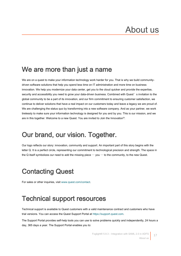# <span id="page-16-0"></span>About us

#### We are more than just a name

We are on a quest to make your information technology work harder for you. That is why we build communitydriven software solutions that help you spend less time on IT administration and more time on business innovation. We help you modernize your data center, get you to the cloud quicker and provide the expertise, security and accessibility you need to grow your data-driven business. Combined with Quest's invitation to the global community to be a part of its innovation, and our firm commitment to ensuring customer satisfaction, we continue to deliver solutions that have a real impact on our customers today and leave a legacy we are proud of. We are challenging the status quo by transforming into a new software company. And as your partner, we work tirelessly to make sure your information technology is designed for you and by you. This is our mission, and we are in this together. Welcome to a new Quest. You are invited to Join the Innovation™.

### Our brand, our vision. Together.

Our logo reflects our story: innovation, community and support. An important part of this story begins with the letter Q. It is a perfect circle, representing our commitment to technological precision and strength. The space in the Q itself symbolizes our need to add the missing piece  $-\nu$  ou  $-\nu$  to the community, to the new Quest.

### Contacting Quest

For sales or other inquiries, visi[t www.quest.com/contact.](www.quest.com/contact)

### Technical support resources

Technical support is available to Quest customers with a valid maintenance contract and customers who have trial versions. You can access the Quest Support Portal at [https://support.quest.com.](https://support.quest.com/)

The Support Portal provides self-help tools you can use to solve problems quickly and independently, 24 hours a day, 365 days a year. The Support Portal enables you to: